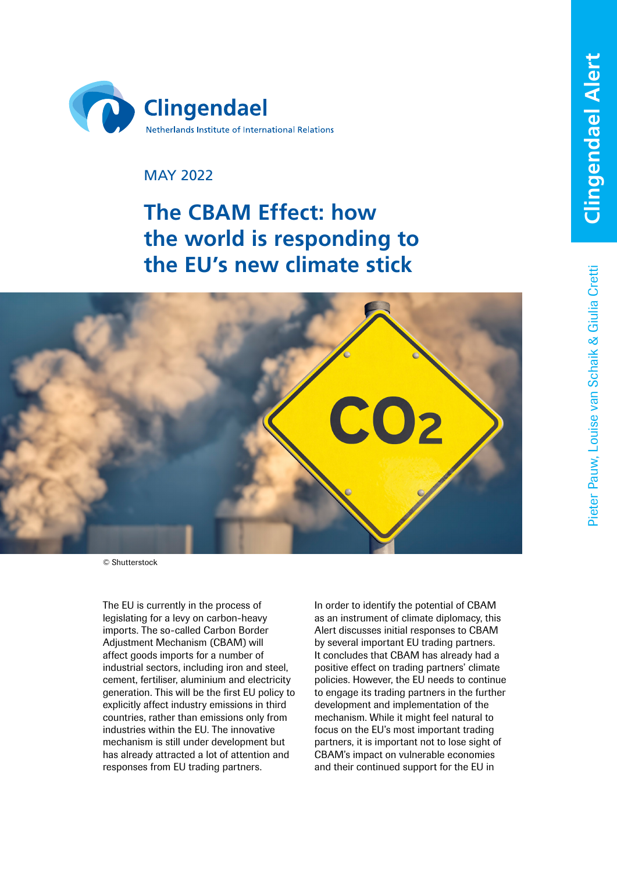

# MAY 2022

# **The CBAM Effect: how the world is responding to the EU's new climate stick**



© Shutterstock

The EU is currently in the process of legislating for a levy on carbon-heavy imports. The so-called Carbon Border Adjustment Mechanism (CBAM) will affect goods imports for a number of industrial sectors, including iron and steel, cement, fertiliser, aluminium and electricity generation. This will be the first EU policy to explicitly affect industry emissions in third countries, rather than emissions only from industries within the EU. The innovative mechanism is still under development but has already attracted a lot of attention and responses from EU trading partners.

In order to identify the potential of CBAM as an instrument of climate diplomacy, this Alert discusses initial responses to CBAM by several important EU trading partners. It concludes that CBAM has already had a positive effect on trading partners' climate policies. However, the EU needs to continue to engage its trading partners in the further development and implementation of the mechanism. While it might feel natural to focus on the EU's most important trading partners, it is important not to lose sight of CBAM's impact on vulnerable economies and their continued support for the EU in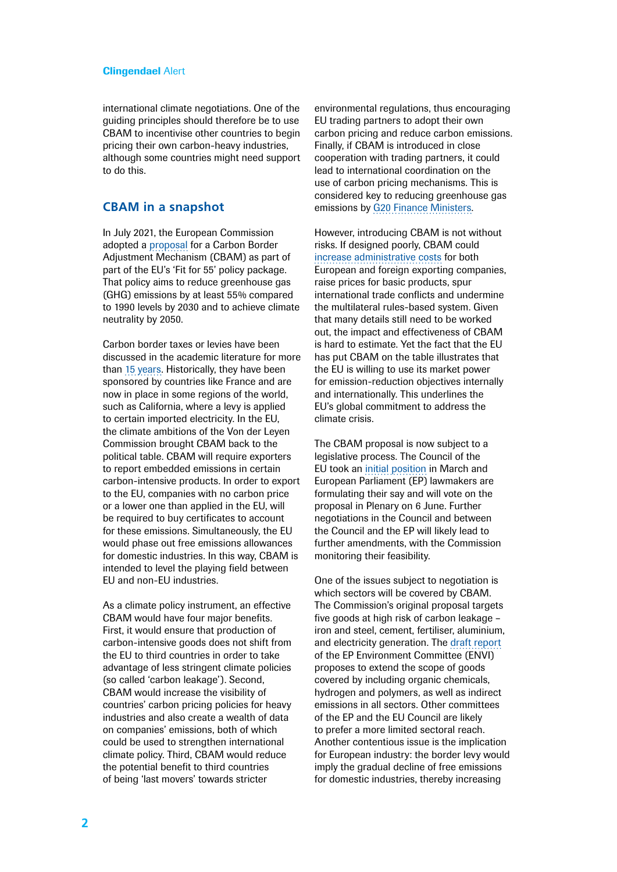international climate negotiations. One of the guiding principles should therefore be to use CBAM to incentivise other countries to begin pricing their own carbon-heavy industries, although some countries might need support to do this.

## **CBAM in a snapshot**

In July 2021, the European Commission adopted a [proposal](https://ec.europa.eu/info/sites/default/files/carbon_border_adjustment_mechanism_0.pdf) for a Carbon Border Adjustment Mechanism (CBAM) as part of part of the EU's 'Fit for 55' policy package. That policy aims to reduce greenhouse gas (GHG) emissions by at least 55% compared to 1990 levels by 2030 and to achieve climate neutrality by 2050.

Carbon border taxes or levies have been discussed in the academic literature for more than [15 years.](https://germanwatch.org/sites/default/files/2021-06-15_Less confrontation%2C more cooperation_Increasing acceptability of the EU Carbon Border Adjustment in key trade partners_0.pdf) Historically, they have been sponsored by countries like France and are now in place in some regions of the world, such as California, where a levy is applied to certain imported electricity. In the EU, the climate ambitions of the Von der Leyen Commission brought CBAM back to the political table. CBAM will require exporters to report embedded emissions in certain carbon-intensive products. In order to export to the EU, companies with no carbon price or a lower one than applied in the EU, will be required to buy certificates to account for these emissions. Simultaneously, the EU would phase out free emissions allowances for domestic industries. In this way, CBAM is intended to level the playing field between EU and non-EU industries.

As a climate policy instrument, an effective CBAM would have four major benefits. First, it would ensure that production of carbon-intensive goods does not shift from the EU to third countries in order to take advantage of less stringent climate policies (so called 'carbon leakage'). Second, CBAM would increase the visibility of countries' carbon pricing policies for heavy industries and also create a wealth of data on companies' emissions, both of which could be used to strengthen international climate policy. Third, CBAM would reduce the potential benefit to third countries of being 'last movers' towards stricter

environmental regulations, thus encouraging EU trading partners to adopt their own carbon pricing and reduce carbon emissions. Finally, if CBAM is introduced in close cooperation with trading partners, it could lead to international coordination on the use of carbon pricing mechanisms. This is considered key to reducing greenhouse gas emissions by [G20 Finance Ministers](https://g20.org/).

However, introducing CBAM is not without risks. If designed poorly, CBAM could [increase administrative costs](https://www.sciencedirect.com/science/article/pii/S2214629621003339) for both European and foreign exporting companies, raise prices for basic products, spur international trade conflicts and undermine the multilateral rules-based system. Given that many details still need to be worked out, the impact and effectiveness of CBAM is hard to estimate. Yet the fact that the EU has put CBAM on the table illustrates that the EU is willing to use its market power for emission-reduction objectives internally and internationally. This underlines the EU's global commitment to address the climate crisis.

The CBAM proposal is now subject to a legislative process. The Council of the EU took an [initial position](https://www.euractiv.com/section/energy-environment/news/eu-countries-agree-worlds-first-carbon-tariff-but-leave-out-controversial-issues/?utm_source=piano&utm_medium=email&utm_campaign=9722&pnespid=v7toAnUfL6oZyKbQq2.uA8uP7gv3SpVzKO_wmvEz90JmdqGUaoHVbRrEzwM3x95rqtlT0IXkNw) in March and European Parliament (EP) lawmakers are formulating their say and will vote on the proposal in Plenary on 6 June. Further negotiations in the Council and between the Council and the EP will likely lead to further amendments, with the Commission monitoring their feasibility.

One of the issues subject to negotiation is which sectors will be covered by CBAM. The Commission's original proposal targets five goods at high risk of carbon leakage – iron and steel, cement, fertiliser, aluminium, and electricity generation. The [draft report](https://www.europarl.europa.eu/doceo/document/ENVI-PR-697670_EN.pdf) of the EP Environment Committee (ENVI) proposes to extend the scope of goods covered by including organic chemicals, hydrogen and polymers, as well as indirect emissions in all sectors. Other committees of the EP and the EU Council are likely to prefer a more limited sectoral reach. Another contentious issue is the implication for European industry: the border levy would imply the gradual decline of free emissions for domestic industries, thereby increasing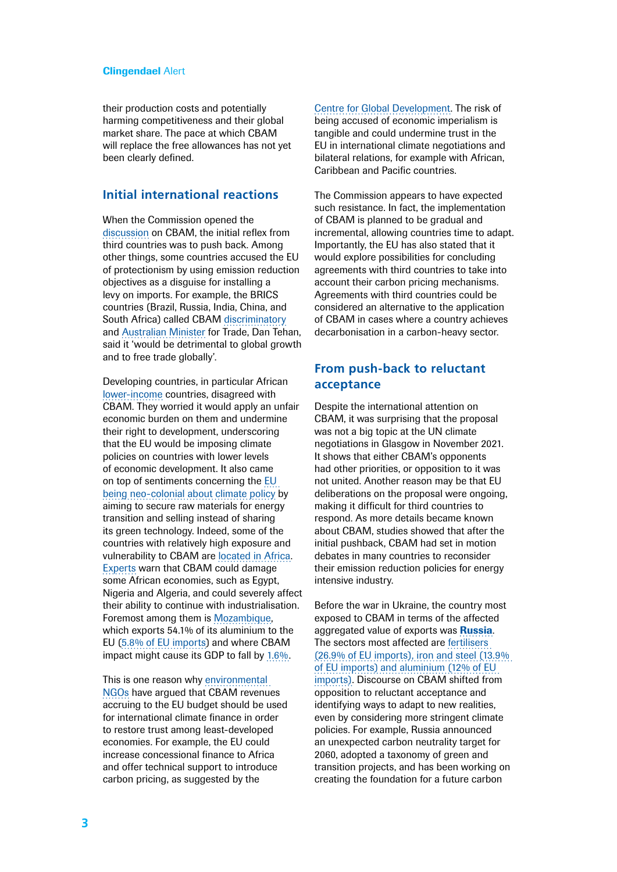their production costs and potentially harming competitiveness and their global market share. The pace at which CBAM will replace the free allowances has not yet been clearly defined.

## **Initial international reactions**

When the Commission opened the [discussion](https://ec.europa.eu/info/law/better-regulation/have-your-say/initiatives/12228-EU-Green-Deal-carbon-border-adjustment-mechanism-_en) on CBAM, the initial reflex from third countries was to push back. Among other things, some countries accused the EU of protectionism by using emission reduction objectives as a disguise for installing a levy on imports. For example, the BRICS countries (Brazil, Russia, India, China, and South Africa) called CBAM [discriminatory](https://timesofindia.indiatimes.com/india/brics-nations-join-india-in-opposing-eu-carbon-tax/articleshow/85704371.cms) and [Australian Minister](https://www.politico.eu/article/cbam-detrimental-to-growth-australian-trade-minister-says/) for Trade, Dan Tehan, said it 'would be detrimental to global growth and to free trade globally'.

Developing countries, in particular African [lower-income](https://www.cgdev.org/blog/eu-tax-african-carbon-assessing-impact-and-ways-forward) countries, disagreed with CBAM. They worried it would apply an unfair economic burden on them and undermine their right to development, underscoring that the EU would be imposing climate policies on countries with lower levels of economic development. It also came on top of sentiments concerning the [EU](https://www.aljazeera.com/opinions/2021/6/23/the-eus-green-deal-could-propagate-climate-colonialism)  [being neo-colonial about climate policy](https://www.aljazeera.com/opinions/2021/6/23/the-eus-green-deal-could-propagate-climate-colonialism) by aiming to secure raw materials for energy transition and selling instead of sharing its green technology. Indeed, some of the countries with relatively high exposure and vulnerability to CBAM are [located in Africa](https://ec.europa.eu/info/sites/default/files/carbon_border_adjustment_mechanism_0.pdf). [Experts](https://euobserver.com/war-peace-green-economy/154571?utm_source=euobs&utm_medium=email) warn that CBAM could damage some African economies, such as Egypt, Nigeria and Algeria, and could severely affect their ability to continue with industrialisation. Foremost among them is [Mozambique,](https://ec.europa.eu/info/sites/default/files/carbon_border_adjustment_mechanism_0.pdf) which exports 54.1% of its aluminium to the EU [\(5.8% of EU imports\)](https://www.swp-berlin.org/themen/dossiers/klimapolitik/klimastrategien-der-eu/spezial-co2-grenzausgleich-der-eu) and where CBAM impact might cause its GDP to fall by [1.6%.](https://www.cgdev.org/blog/eu-tax-african-carbon-assessing-impact-and-ways-forward)

This is one reason why [environmental](https://wwfeu.awsassets.panda.org/downloads/joint_ngo_statement_on_cbam_proposal_final_dec_2021.pdf)  [NGOs](https://wwfeu.awsassets.panda.org/downloads/joint_ngo_statement_on_cbam_proposal_final_dec_2021.pdf) have argued that CBAM revenues accruing to the EU budget should be used for international climate finance in order to restore trust among least-developed economies. For example, the EU could increase concessional finance to Africa and offer technical support to introduce carbon pricing, as suggested by the

[Centre for Global Development.](https://www.cgdev.org/blog/eu-tax-african-carbon-assessing-impact-and-ways-forward) The risk of being accused of economic imperialism is tangible and could undermine trust in the EU in international climate negotiations and bilateral relations, for example with African, Caribbean and Pacific countries.

The Commission appears to have expected such resistance. In fact, the implementation of CBAM is planned to be gradual and incremental, allowing countries time to adapt. Importantly, the EU has also stated that it would explore possibilities for concluding agreements with third countries to take into account their carbon pricing mechanisms. Agreements with third countries could be considered an alternative to the application of CBAM in cases where a country achieves decarbonisation in a carbon-heavy sector.

## **From push-back to reluctant acceptance**

Despite the international attention on CBAM, it was surprising that the proposal was not a big topic at the UN climate negotiations in Glasgow in November 2021. It shows that either CBAM's opponents had other priorities, or opposition to it was not united. Another reason may be that EU deliberations on the proposal were ongoing, making it difficult for third countries to respond. As more details became known about CBAM, studies showed that after the initial pushback, CBAM had set in motion debates in many countries to reconsider their emission reduction policies for energy intensive industry.

Before the war in Ukraine, the country most exposed to CBAM in terms of the affected aggregated value of exports was **[Russia](https://www.iass-potsdam.de/en/output/publications/2021/navigating-uncharted-waters-russias-evolving-reactions-cbam-and-european)**. The sectors most affected are [fertilisers](https://www.swp-berlin.org/themen/dossiers/klimapolitik/klimastrategien-der-eu/spezial-co2-grenzausgleich-der-eu)  [\(26.9% of EU imports\), iron and steel \(13.9%](https://www.swp-berlin.org/themen/dossiers/klimapolitik/klimastrategien-der-eu/spezial-co2-grenzausgleich-der-eu)  [of EU imports\) and aluminium \(12% of EU](https://www.swp-berlin.org/themen/dossiers/klimapolitik/klimastrategien-der-eu/spezial-co2-grenzausgleich-der-eu)  [imports\).](https://www.swp-berlin.org/themen/dossiers/klimapolitik/klimastrategien-der-eu/spezial-co2-grenzausgleich-der-eu) Discourse on CBAM shifted from opposition to reluctant acceptance and identifying ways to adapt to new realities, even by considering more stringent climate policies. For example, Russia announced an unexpected carbon neutrality target for 2060, adopted a taxonomy of green and transition projects, and has been working on creating the foundation for a future carbon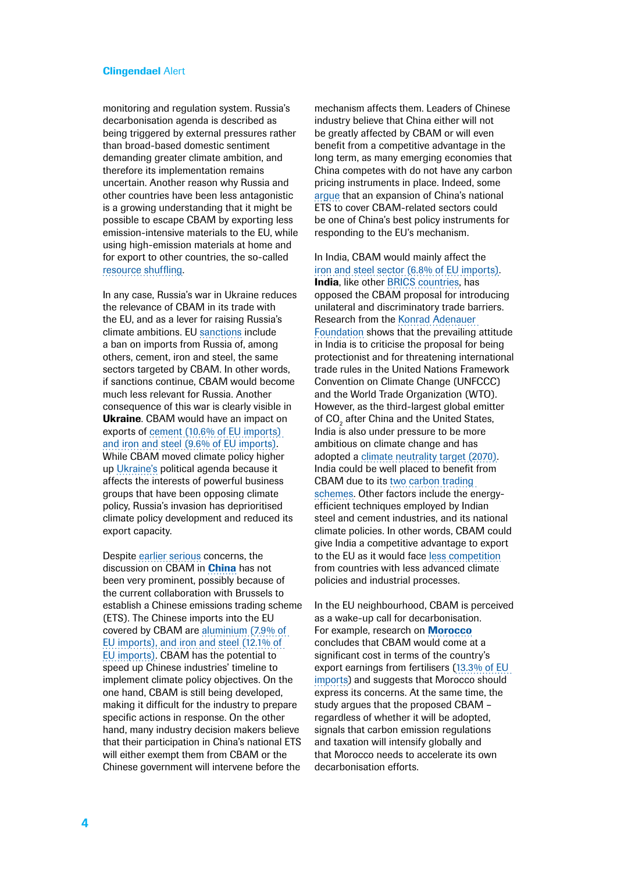monitoring and regulation system. Russia's decarbonisation agenda is described as being triggered by external pressures rather than broad-based domestic sentiment demanding greater climate ambition, and therefore its implementation remains uncertain. Another reason why Russia and other countries have been less antagonistic is a growing understanding that it might be possible to escape CBAM by exporting less emission-intensive materials to the EU, while using high-emission materials at home and for export to other countries, the so-called [resource shuffling.](https://ec.europa.eu/info/sites/default/files/carbon_border_adjustment_mechanism_0.pdf)

In any case, Russia's war in Ukraine reduces the relevance of CBAM in its trade with the EU, and as a lever for raising Russia's climate ambitions. EU [sanctions](https://ec.europa.eu/info/business-economy-euro/banking-and-finance/international-relations/restrictive-measures-sanctions/sanctions-adopted-following-russias-military-aggression-against-ukraine_en) include a ban on imports from Russia of, among others, cement, iron and steel, the same sectors targeted by CBAM. In other words, if sanctions continue, CBAM would become much less relevant for Russia. Another consequence of this war is clearly visible in Ukraine. CBAM would have an impact on exports of [cement \(10.6% of EU imports\)](https://www.swp-berlin.org/themen/dossiers/klimapolitik/klimastrategien-der-eu/spezial-co2-grenzausgleich-der-eu)  [and iron and steel \(9.6% of EU imports\).](https://www.swp-berlin.org/themen/dossiers/klimapolitik/klimastrategien-der-eu/spezial-co2-grenzausgleich-der-eu) While CBAM moved climate policy higher up [Ukraine'](https://publications.iass-potsdam.de/rest/items/item_6001279_2/component/file_6001289/content)s political agenda because it affects the interests of powerful business groups that have been opposing climate policy, Russia's invasion has deprioritised climate policy development and reduced its export capacity.

Despite [earlier serious](https://www.itasean.org/en/arriva-il-carbon-pricing-sulle-merci-importate-nellue/) concerns, the discussion on CBAM in **[China](https://www.kas.de/documents/265079/265128/EU+Carbon+Border+Adjustment+Mechanism.pdf/fed1d5a4-4424-c450-a1b9-b7dbd3616179#page=22)** has not been very prominent, possibly because of the current collaboration with Brussels to establish a Chinese emissions trading scheme (ETS). The Chinese imports into the EU covered by CBAM are [aluminium \(7.9% of](https://www.swp-berlin.org/themen/dossiers/klimapolitik/klimastrategien-der-eu/spezial-co2-grenzausgleich-der-eu)  [EU imports\), and iron and steel \(12.1% of](https://www.swp-berlin.org/themen/dossiers/klimapolitik/klimastrategien-der-eu/spezial-co2-grenzausgleich-der-eu)  [EU imports\).](https://www.swp-berlin.org/themen/dossiers/klimapolitik/klimastrategien-der-eu/spezial-co2-grenzausgleich-der-eu) CBAM has the potential to speed up Chinese industries' timeline to implement climate policy objectives. On the one hand, CBAM is still being developed, making it difficult for the industry to prepare specific actions in response. On the other hand, many industry decision makers believe that their participation in China's national ETS will either exempt them from CBAM or the Chinese government will intervene before the

mechanism affects them. Leaders of Chinese industry believe that China either will not be greatly affected by CBAM or will even benefit from a competitive advantage in the long term, as many emerging economies that China competes with do not have any carbon pricing instruments in place. Indeed, some [argue](https://www.adelphi.de/de/system/files/mediathek/bilder/20210610 PolicyPaperCBAM China_Final.pdf) that an expansion of China's national ETS to cover CBAM-related sectors could be one of China's best policy instruments for responding to the EU's mechanism.

In India, CBAM would mainly affect the [iron and steel sector \(6.8% of EU imports\).](https://www.swp-berlin.org/themen/dossiers/klimapolitik/klimastrategien-der-eu/spezial-co2-grenzausgleich-der-eu) India, like other [BRICS countries](https://timesofindia.indiatimes.com/india/brics-nations-join-india-in-opposing-eu-carbon-tax/articleshow/85704371.cms), has opposed the CBAM proposal for introducing unilateral and discriminatory trade barriers. Research from the [Konrad Adenauer](https://www.kas.de/documents/265079/265128/EU+Carbon+Border+Adjustment+Mechanism.pdf/fed1d5a4-4424-c450-a1b9-b7dbd3616179#page=30)  [Foundation](https://www.kas.de/documents/265079/265128/EU+Carbon+Border+Adjustment+Mechanism.pdf/fed1d5a4-4424-c450-a1b9-b7dbd3616179#page=30) shows that the prevailing attitude in India is to criticise the proposal for being protectionist and for threatening international trade rules in the United Nations Framework Convention on Climate Change (UNFCCC) and the World Trade Organization (WTO). However, as the third-largest global emitter of CO<sub>2</sub> after China and the United States, India is also under pressure to be more ambitious on climate change and has adopted a [climate neutrality target \(2070\).](https://www.bbc.com/news/world-asia-india-59125143) India could be well placed to benefit from CBAM due to its [two carbon trading](https://www.kas.de/documents/265079/265128/EU+Carbon+Border+Adjustment+Mechanism.pdf/fed1d5a4-4424-c450-a1b9-b7dbd3616179#page=30)  [schemes](https://www.kas.de/documents/265079/265128/EU+Carbon+Border+Adjustment+Mechanism.pdf/fed1d5a4-4424-c450-a1b9-b7dbd3616179#page=30). Other factors include the energyefficient techniques employed by Indian steel and cement industries, and its national climate policies. In other words, CBAM could give India a competitive advantage to export to the EU as it would face [less competition](https://www.itasean.org/en/arriva-il-carbon-pricing-sulle-merci-importate-nellue/) from countries with less advanced climate policies and industrial processes.

In the EU neighbourhood, CBAM is perceived as a wake-up call for decarbonisation. For example, research on **[Morocco](https://media.africaportal.org/documents/PP-21-21-RIM-DADUSH-.pdf)** concludes that CBAM would come at a significant cost in terms of the country's export earnings from fertilisers ([13.3% of EU](https://www.swp-berlin.org/themen/dossiers/klimapolitik/klimastrategien-der-eu/spezial-co2-grenzausgleich-der-eu)  [imports\)](https://www.swp-berlin.org/themen/dossiers/klimapolitik/klimastrategien-der-eu/spezial-co2-grenzausgleich-der-eu) and suggests that Morocco should express its concerns. At the same time, the study argues that the proposed CBAM – regardless of whether it will be adopted, signals that carbon emission regulations and taxation will intensify globally and that Morocco needs to accelerate its own decarbonisation efforts.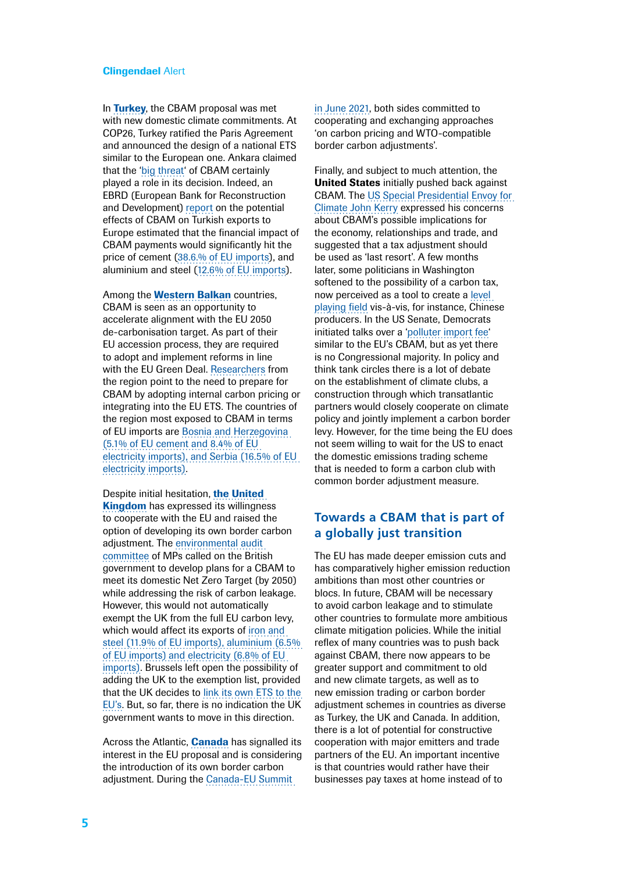In [Turkey](https://www.politico.eu/article/eu-carbon-border-adjustment-mechanism-turkey-paris-accord-climate-change/), the CBAM proposal was met with new domestic climate commitments. At COP26, Turkey ratified the Paris Agreement and announced the design of a national ETS similar to the European one. Ankara claimed that the '[big threat'](https://www.politico.eu/article/eu-carbon-border-adjustment-mechanism-turkey-paris-accord-climate-change/) of CBAM certainly played a role in its decision. Indeed, an EBRD (European Bank for Reconstruction and Development) [report](https://www.ebrd.com/news/2021/turkish-exporters-could-face-steep-extra-costs-under-new-eu-carbon-rules.html) on the potential effects of CBAM on Turkish exports to Europe estimated that the financial impact of CBAM payments would significantly hit the price of cement [\(38.6.% of EU imports\),](https://www.swp-berlin.org/themen/dossiers/klimapolitik/klimastrategien-der-eu/spezial-co2-grenzausgleich-der-eu) and aluminium and steel [\(12.6% of EU imports\)](https://www.swp-berlin.org/themen/dossiers/klimapolitik/klimastrategien-der-eu/spezial-co2-grenzausgleich-der-eu).

Among the **[Western Balkan](https://balkangreenenergynews.com/eu-announces-carbon-border-tax-from-2026-what-lies-ahead-for-exporters-from-western-balkans-turkey/)** countries, CBAM is seen as an opportunity to accelerate alignment with the EU 2050 de-carbonisation target. As part of their EU accession process, they are required to adopt and implement reforms in line with the EU Green Deal. [Researchers](https://static.agora-energiewende.de/fileadmin/Projekte/2021/2021_01_EU_Balkan_Green_Deal/A-EW_251_CBAM_WB-6_WEB.pdf) from the region point to the need to prepare for CBAM by adopting internal carbon pricing or integrating into the EU ETS. The countries of the region most exposed to CBAM in terms of EU imports are Bosnia and Herzegovina (5.1% of EU cement and 8.4% of EU electricity imports), and Serbia (16.5% of EU electricity imports).

Despite initial hesitation, the United **[Kingdom](https://publications.parliament.uk/pa/cm5802/cmselect/cmenvaud/737/report.html#heading-0)** has expressed its willingness to cooperate with the EU and raised the option of developing its own border carbon adjustment. The [environmental audit](https://committees.parliament.uk/committee/62/environmental-audit-committee/news/165276/eac-calls-for-work-on-a-unilateral-cbam-to-commence-immediately/)  [committee](https://committees.parliament.uk/committee/62/environmental-audit-committee/news/165276/eac-calls-for-work-on-a-unilateral-cbam-to-commence-immediately/) of MPs called on the British government to develop plans for a CBAM to meet its domestic Net Zero Target (by 2050) while addressing the risk of carbon leakage. However, this would not automatically exempt the UK from the full EU carbon levy, which would affect its exports of [iron and](https://www.swp-berlin.org/themen/dossiers/klimapolitik/klimastrategien-der-eu/spezial-co2-grenzausgleich-der-eu)  [steel \(11.9% of EU imports\), aluminium \(6.5%](https://www.swp-berlin.org/themen/dossiers/klimapolitik/klimastrategien-der-eu/spezial-co2-grenzausgleich-der-eu)  [of EU imports\) and electricity \(6.8% of EU](https://www.swp-berlin.org/themen/dossiers/klimapolitik/klimastrategien-der-eu/spezial-co2-grenzausgleich-der-eu)  [imports\).](https://www.swp-berlin.org/themen/dossiers/klimapolitik/klimastrategien-der-eu/spezial-co2-grenzausgleich-der-eu) Brussels left open the possibility of adding the UK to the exemption list, provided that the UK decides to [link its own ETS to the](https://www.cer.eu/insights/avoiding-pitfalls-eu-carbon-border-adjustment-mechanism)  [EU's.](https://www.cer.eu/insights/avoiding-pitfalls-eu-carbon-border-adjustment-mechanism) But, so far, there is no indication the UK government wants to move in this direction.

Across the Atlantic, **[Canada](https://www.canada.ca/en/department-finance/programs/consultations/2021/border-carbon-adjustments/exploring-border-carbon-adjustments-canada.html)** has signalled its interest in the EU proposal and is considering the introduction of its own border carbon adiustment. During the Canada-EU Summit

[in June 2021](https://www.consilium.europa.eu/media/50757/20210614-joint-statement-final.pdf), both sides committed to cooperating and exchanging approaches 'on carbon pricing and WTO-compatible border carbon adjustments'.

Finally, and subject to much attention, the **United States** initially pushed back against CBAM. The [US Special Presidential Envoy for](https://www.ft.com/content/3d00d3c8-202d-4765-b0ae-e2b212bbca98)  [Climate John Kerry](https://www.ft.com/content/3d00d3c8-202d-4765-b0ae-e2b212bbca98) expressed his concerns about CBAM's possible implications for the economy, relationships and trade, and suggested that a tax adjustment should be used as 'last resort'. A few months later, some politicians in Washington softened to the possibility of a carbon tax, now perceived as a tool to create a [level](https://www.euractiv.com/section/energy-environment/opinion/united-states-lawmakers-are-at-a-cbam-tipping-point/)  [playing field](https://www.euractiv.com/section/energy-environment/opinion/united-states-lawmakers-are-at-a-cbam-tipping-point/) vis-à-vis, for instance, Chinese producers. In the US Senate, Democrats initiated talks over a ['polluter import fee](https://www.euractiv.com/section/energy-environment/news/us-lawmakers-push-carbon-border-tariff-similar-to-eus-cbam/)' similar to the EU's CBAM, but as yet there is no Congressional majority. In policy and think tank circles there is a lot of debate on the establishment of climate clubs, a construction through which transatlantic partners would closely cooperate on climate policy and jointly implement a carbon border levy. However, for the time being the EU does not seem willing to wait for the US to enact the domestic emissions trading scheme that is needed to form a carbon club with common border adjustment measure.

# **Towards a CBAM that is part of a globally just transition**

The EU has made deeper emission cuts and has comparatively higher emission reduction ambitions than most other countries or blocs. In future, CBAM will be necessary to avoid carbon leakage and to stimulate other countries to formulate more ambitious climate mitigation policies. While the initial reflex of many countries was to push back against CBAM, there now appears to be greater support and commitment to old and new climate targets, as well as to new emission trading or carbon border adiustment schemes in countries as diverse as Turkey, the UK and Canada. In addition, there is a lot of potential for constructive cooperation with major emitters and trade partners of the EU. An important incentive is that countries would rather have their businesses pay taxes at home instead of to